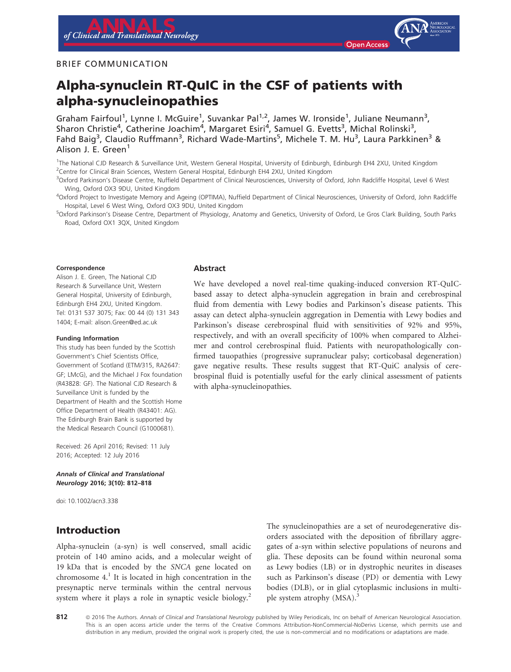### BRIEF COMMUNICATION

# Alpha-synuclein RT-QuIC in the CSF of patients with alpha-synucleinopathies

Graham Fairfoul<sup>1</sup>, Lynne I. McGuire<sup>1</sup>, Suvankar Pal<sup>1,2</sup>, James W. Ironside<sup>1</sup>, Juliane Neumann<sup>3</sup>, Sharon Christie<sup>4</sup>, Catherine Joachim<sup>4</sup>, Margaret Esiri<sup>4</sup>, Samuel G. Evetts<sup>3</sup>, Michal Rolinski<sup>3</sup>, Fahd Baig<sup>3</sup>, Claudio Ruffmann<sup>3</sup>, Richard Wade-Martins<sup>5</sup>, Michele T. M. Hu<sup>3</sup>, Laura Parkkinen<sup>3</sup> & Alison J. E. Green<sup>1</sup>

1 The National CJD Research & Surveillance Unit, Western General Hospital, University of Edinburgh, Edinburgh EH4 2XU, United Kingdom <sup>2</sup>Centre for Clinical Brain Sciences, Western General Hospital, Edinburgh EH4 2XU, United Kingdom

<sup>3</sup>Oxford Parkinson's Disease Centre, Nuffield Department of Clinical Neurosciences, University of Oxford, John Radcliffe Hospital, Level 6 West Wing, Oxford OX3 9DU, United Kingdom

4 Oxford Project to Investigate Memory and Ageing (OPTIMA), Nuffield Department of Clinical Neurosciences, University of Oxford, John Radcliffe Hospital, Level 6 West Wing, Oxford OX3 9DU, United Kingdom

5 Oxford Parkinson's Disease Centre, Department of Physiology, Anatomy and Genetics, University of Oxford, Le Gros Clark Building, South Parks Road, Oxford OX1 3QX, United Kingdom

#### Correspondence

Alison J. E. Green, The National CJD Research & Surveillance Unit, Western General Hospital, University of Edinburgh, Edinburgh EH4 2XU, United Kingdom. Tel: 0131 537 3075; Fax: 00 44 (0) 131 343 1404; E-mail: alison.Green@ed.ac.uk

#### Funding Information

This study has been funded by the Scottish Government's Chief Scientists Office, Government of Scotland (ETM/315, RA2647: GF; LMcG), and the Michael J Fox foundation (R43828: GF). The National CJD Research & Surveillance Unit is funded by the Department of Health and the Scottish Home Office Department of Health (R43401: AG). The Edinburgh Brain Bank is supported by the Medical Research Council (G1000681).

Received: 26 April 2016; Revised: 11 July 2016; Accepted: 12 July 2016

Annals of Clinical and Translational Neurology 2016; 3(10): 812–818

doi: 10.1002/acn3.338

# Introduction

Alpha-synuclein (a-syn) is well conserved, small acidic protein of 140 amino acids, and a molecular weight of 19 kDa that is encoded by the SNCA gene located on chromosome  $4<sup>1</sup>$ . It is located in high concentration in the presynaptic nerve terminals within the central nervous system where it plays a role in synaptic vesicle biology.<sup>2</sup>

The synucleinopathies are a set of neurodegenerative disorders associated with the deposition of fibrillary aggregates of a-syn within selective populations of neurons and glia. These deposits can be found within neuronal soma as Lewy bodies (LB) or in dystrophic neurites in diseases such as Parkinson's disease (PD) or dementia with Lewy bodies (DLB), or in glial cytoplasmic inclusions in multiple system atrophy (MSA).<sup>3</sup>

812 <sup>©</sup> 2016 The Authors. Annals of Clinical and Translational Neurology published by Wiley Periodicals, Inc on behalf of American Neurological Association. This is an open access article under the terms of the [Creative Commons Attribution-NonCommercial-NoDerivs](http://creativecommons.org/licenses/by-nc-nd/4.0/) License, which permits use and distribution in any medium, provided the original work is properly cited, the use is non-commercial and no modifications or adaptations are made.

#### Abstract

We have developed a novel real-time quaking-induced conversion RT-QuICbased assay to detect alpha-synuclein aggregation in brain and cerebrospinal fluid from dementia with Lewy bodies and Parkinson's disease patients. This assay can detect alpha-synuclein aggregation in Dementia with Lewy bodies and Parkinson's disease cerebrospinal fluid with sensitivities of 92% and 95%, respectively, and with an overall specificity of 100% when compared to Alzheimer and control cerebrospinal fluid. Patients with neuropathologically confirmed tauopathies (progressive supranuclear palsy; corticobasal degeneration) gave negative results. These results suggest that RT-QuiC analysis of cerebrospinal fluid is potentially useful for the early clinical assessment of patients with alpha-synucleinopathies.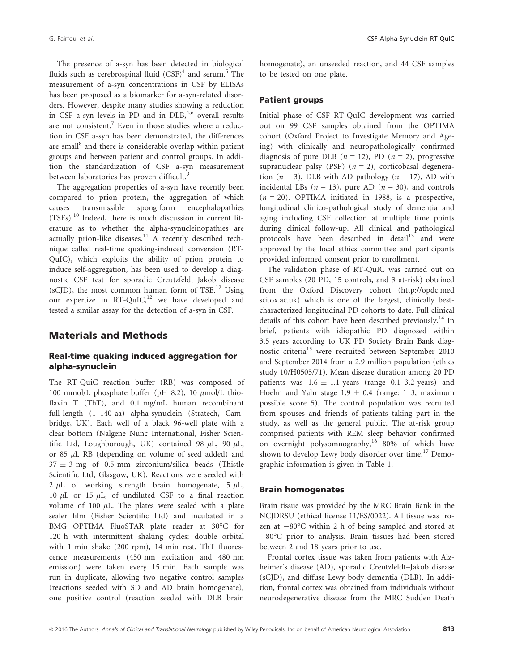The presence of a-syn has been detected in biological fluids such as cerebrospinal fluid  $(CSF)^4$  and serum.<sup>5</sup> The measurement of a-syn concentrations in CSF by ELISAs has been proposed as a biomarker for a-syn-related disorders. However, despite many studies showing a reduction in CSF a-syn levels in PD and in  $DLB$ ,  $4,6$  overall results are not consistent.<sup>7</sup> Even in those studies where a reduction in CSF a-syn has been demonstrated, the differences are small<sup>8</sup> and there is considerable overlap within patient groups and between patient and control groups. In addition the standardization of CSF a-syn measurement between laboratories has proven difficult.<sup>9</sup>

The aggregation properties of a-syn have recently been compared to prion protein, the aggregation of which causes transmissible spongiform encephalopathies (TSEs).10 Indeed, there is much discussion in current literature as to whether the alpha-synucleinopathies are actually prion-like diseases.<sup>11</sup> A recently described technique called real-time quaking-induced conversion (RT-QuIC), which exploits the ability of prion protein to induce self-aggregation, has been used to develop a diagnostic CSF test for sporadic Creutzfeldt–Jakob disease ( $sCJD$ ), the most common human form of TSE.<sup>12</sup> Using our expertize in  $RT\text{-}QuIC,^{12}$  we have developed and tested a similar assay for the detection of a-syn in CSF.

### Materials and Methods

### Real-time quaking induced aggregation for alpha-synuclein

The RT-QuiC reaction buffer (RB) was composed of 100 mmol/L phosphate buffer (pH 8.2), 10  $\mu$ mol/L thioflavin T (ThT), and 0.1 mg/mL human recombinant full-length (1–140 aa) alpha-synuclein (Stratech, Cambridge, UK). Each well of a black 96-well plate with a clear bottom (Nalgene Nunc International, Fisher Scientific Ltd, Loughborough, UK) contained 98  $\mu$ L, 90  $\mu$ L, or 85  $\mu$ L RB (depending on volume of seed added) and  $37 \pm 3$  mg of 0.5 mm zirconium/silica beads (Thistle Scientific Ltd, Glasgow, UK). Reactions were seeded with 2  $\mu$ L of working strength brain homogenate, 5  $\mu$ L, 10  $\mu$ L or 15  $\mu$ L, of undiluted CSF to a final reaction volume of 100  $\mu$ L. The plates were sealed with a plate sealer film (Fisher Scientific Ltd) and incubated in a BMG OPTIMA FluoSTAR plate reader at 30°C for 120 h with intermittent shaking cycles: double orbital with 1 min shake (200 rpm), 14 min rest. ThT fluorescence measurements (450 nm excitation and 480 nm emission) were taken every 15 min. Each sample was run in duplicate, allowing two negative control samples (reactions seeded with SD and AD brain homogenate), one positive control (reaction seeded with DLB brain homogenate), an unseeded reaction, and 44 CSF samples to be tested on one plate.

#### **Patient groups**

Initial phase of CSF RT-QuIC development was carried out on 99 CSF samples obtained from the OPTIMA cohort (Oxford Project to Investigate Memory and Ageing) with clinically and neuropathologically confirmed diagnosis of pure DLB  $(n = 12)$ , PD  $(n = 2)$ , progressive supranuclear palsy (PSP)  $(n = 2)$ , corticobasal degeneration ( $n = 3$ ), DLB with AD pathology ( $n = 17$ ), AD with incidental LBs ( $n = 13$ ), pure AD ( $n = 30$ ), and controls  $(n = 20)$ . OPTIMA initiated in 1988, is a prospective, longitudinal clinico-pathological study of dementia and aging including CSF collection at multiple time points during clinical follow-up. All clinical and pathological protocols have been described in detail $13$  and were approved by the local ethics committee and participants provided informed consent prior to enrollment.

The validation phase of RT-QuIC was carried out on CSF samples (20 PD, 15 controls, and 3 at-risk) obtained from the Oxford Discovery cohort [\(http://opdc.med](http://opdc.medsci.ox.ac.uk) [sci.ox.ac.uk](http://opdc.medsci.ox.ac.uk)) which is one of the largest, clinically bestcharacterized longitudinal PD cohorts to date. Full clinical details of this cohort have been described previously.<sup>14</sup> In brief, patients with idiopathic PD diagnosed within 3.5 years according to UK PD Society Brain Bank diagnostic criteria<sup>15</sup> were recruited between September 2010 and September 2014 from a 2.9 million population (ethics study 10/H0505/71). Mean disease duration among 20 PD patients was  $1.6 \pm 1.1$  years (range 0.1–3.2 years) and Hoehn and Yahr stage  $1.9 \pm 0.4$  (range: 1–3, maximum possible score 5). The control population was recruited from spouses and friends of patients taking part in the study, as well as the general public. The at-risk group comprised patients with REM sleep behavior confirmed on overnight polysomnography,<sup>16</sup> 80% of which have shown to develop Lewy body disorder over time.<sup>17</sup> Demographic information is given in Table 1.

#### Brain homogenates

Brain tissue was provided by the MRC Brain Bank in the NCJDRSU (ethical license 11/ES/0022). All tissue was frozen at  $-80^{\circ}$ C within 2 h of being sampled and stored at -80°C prior to analysis. Brain tissues had been stored between 2 and 18 years prior to use.

Frontal cortex tissue was taken from patients with Alzheimer's disease (AD), sporadic Creutzfeldt–Jakob disease (sCJD), and diffuse Lewy body dementia (DLB). In addition, frontal cortex was obtained from individuals without neurodegenerative disease from the MRC Sudden Death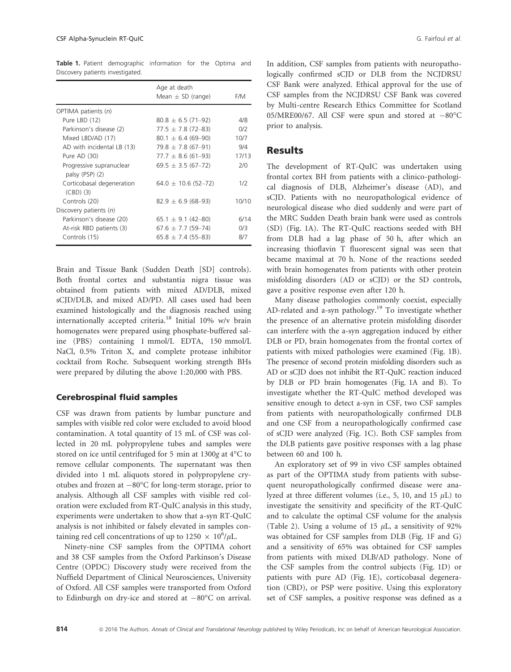Table 1. Patient demographic information for the Optima and Discovery patients investigated.

|                                             | Age at death<br>Mean $\pm$ SD (range) | F/M   |
|---------------------------------------------|---------------------------------------|-------|
| OPTIMA patients (n)                         |                                       |       |
| Pure LBD (12)                               | $80.8 \pm 6.5$ (71-92)                | 4/8   |
| Parkinson's disease (2)                     | $77.5 \pm 7.8$ (72-83)                | 0/2   |
| Mixed LBD/AD (17)                           | $80.1 \pm 6.4 (69 - 90)$              | 10/7  |
| AD with incidental LB (13)                  | $79.8 \pm 7.8$ (67-91)                | 9/4   |
| Pure AD (30)                                | $77.7 \pm 8.6$ (61-93)                | 17/13 |
| Progressive supranuclear<br>palsy (PSP) (2) | 69.5 $\pm$ 3.5 (67-72)                | 2/0   |
| Corticobasal degeneration<br>$(CBD)$ (3)    | $64.0 \pm 10.6$ (52-72)               | 1/2   |
| Controls (20)                               | $82.9 \pm 6.9$ (68-93)                | 10/10 |
| Discovery patients $(n)$                    |                                       |       |
| Parkinson's disease (20)                    | 65.1 $\pm$ 9.1 (42–80)                | 6/14  |
| At-risk RBD patients (3)                    | $67.6 \pm 7.7$ (59-74)                | 0/3   |
| Controls (15)                               | $65.8 \pm 7.4$ (55–83)                | 8/7   |

Brain and Tissue Bank (Sudden Death [SD] controls). Both frontal cortex and substantia nigra tissue was obtained from patients with mixed AD/DLB, mixed sCJD/DLB, and mixed AD/PD. All cases used had been examined histologically and the diagnosis reached using internationally accepted criteria.<sup>18</sup> Initial  $10\%$  w/v brain homogenates were prepared using phosphate-buffered saline (PBS) containing 1 mmol/L EDTA, 150 mmol/L NaCl, 0.5% Triton X, and complete protease inhibitor cocktail from Roche. Subsequent working strength BHs were prepared by diluting the above 1:20,000 with PBS.

### Cerebrospinal fluid samples

CSF was drawn from patients by lumbar puncture and samples with visible red color were excluded to avoid blood contamination. A total quantity of 15 mL of CSF was collected in 20 mL polypropylene tubes and samples were stored on ice until centrifuged for 5 min at 1300g at 4°C to remove cellular components. The supernatant was then divided into 1 mL aliquots stored in polypropylene cryotubes and frozen at  $-80^{\circ}$ C for long-term storage, prior to analysis. Although all CSF samples with visible red coloration were excluded from RT-QuIC analysis in this study, experiments were undertaken to show that a-syn RT-QuIC analysis is not inhibited or falsely elevated in samples containing red cell concentrations of up to  $1250 \times 10^6/\mu L$ .

Ninety-nine CSF samples from the OPTIMA cohort and 38 CSF samples from the Oxford Parkinson's Disease Centre (OPDC) Discovery study were received from the Nuffield Department of Clinical Neurosciences, University of Oxford. All CSF samples were transported from Oxford to Edinburgh on dry-ice and stored at  $-80^{\circ}$ C on arrival.

In addition, CSF samples from patients with neuropathologically confirmed sCJD or DLB from the NCJDRSU CSF Bank were analyzed. Ethical approval for the use of CSF samples from the NCJDRSU CSF Bank was covered by Multi-centre Research Ethics Committee for Scotland 05/MRE00/67. All CSF were spun and stored at  $-80^{\circ}$ C prior to analysis.

### **Results**

The development of RT-QuIC was undertaken using frontal cortex BH from patients with a clinico-pathological diagnosis of DLB, Alzheimer's disease (AD), and sCJD. Patients with no neuropathological evidence of neurological disease who died suddenly and were part of the MRC Sudden Death brain bank were used as controls (SD) (Fig. 1A). The RT-QuIC reactions seeded with BH from DLB had a lag phase of 50 h, after which an increasing thioflavin T fluorescent signal was seen that became maximal at 70 h. None of the reactions seeded with brain homogenates from patients with other protein misfolding disorders (AD or sCJD) or the SD controls, gave a positive response even after 120 h.

Many disease pathologies commonly coexist, especially AD-related and a-syn pathology.<sup>19</sup> To investigate whether the presence of an alternative protein misfolding disorder can interfere with the a-syn aggregation induced by either DLB or PD, brain homogenates from the frontal cortex of patients with mixed pathologies were examined (Fig. 1B). The presence of second protein misfolding disorders such as AD or sCJD does not inhibit the RT-QuIC reaction induced by DLB or PD brain homogenates (Fig. 1A and B). To investigate whether the RT-QuIC method developed was sensitive enough to detect a-syn in CSF, two CSF samples from patients with neuropathologically confirmed DLB and one CSF from a neuropathologically confirmed case of sCJD were analyzed (Fig. 1C). Both CSF samples from the DLB patients gave positive responses with a lag phase between 60 and 100 h.

An exploratory set of 99 in vivo CSF samples obtained as part of the OPTIMA study from patients with subsequent neuropathologically confirmed disease were analyzed at three different volumes (i.e., 5, 10, and 15  $\mu$ L) to investigate the sensitivity and specificity of the RT-QuIC and to calculate the optimal CSF volume for the analysis (Table 2). Using a volume of 15  $\mu$ L, a sensitivity of 92% was obtained for CSF samples from DLB (Fig. 1F and G) and a sensitivity of 65% was obtained for CSF samples from patients with mixed DLB/AD pathology. None of the CSF samples from the control subjects (Fig. 1D) or patients with pure AD (Fig. 1E), corticobasal degeneration (CBD), or PSP were positive. Using this exploratory set of CSF samples, a positive response was defined as a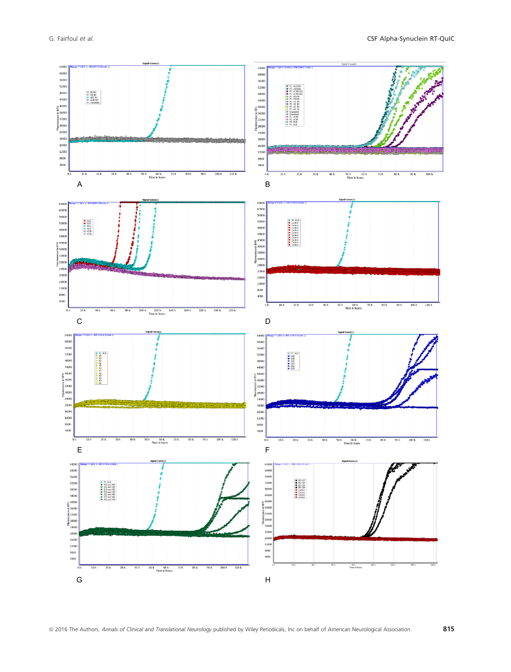

<sup>815</sup> 2016 The Authors. Annals of Clinical and Translational Neurology published by Wiley Periodicals, Inc on behalf of American Neurological Association. 815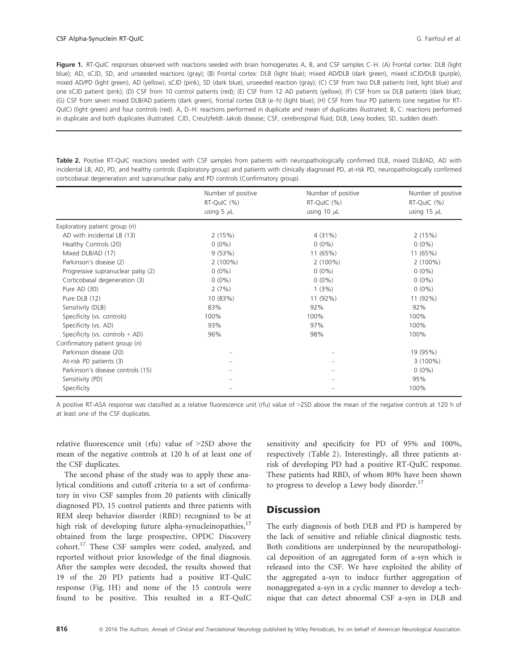Figure 1. RT-QuIC responses observed with reactions seeded with brain homogenates A, B, and CSF samples C-H. (A) Frontal cortex: DLB (light blue); AD, sCJD, SD, and unseeded reactions (gray); (B) Frontal cortex: DLB (light blue); mixed AD/DLB (dark green), mixed sCJD/DLB (purple), mixed AD/PD (light green), AD (yellow), sCJD (pink), SD (dark blue), unseeded reaction (gray); (C) CSF from two DLB patients (red, light blue) and one sCJD patient (pink); (D) CSF from 10 control patients (red); (E) CSF from 12 AD patients (yellow); (F) CSF from six DLB patients (dark blue); (G) CSF from seven mixed DLB/AD patients (dark green), frontal cortex DLB (e–h) (light blue); (H) CSF from four PD patients (one negative for RT-QuIC) (light green) and four controls (red). A, D-H: reactions performed in duplicate and mean of duplicates illustrated; B, C: reactions performed in duplicate and both duplicates illustrated. CJD, Creutzfeldt–Jakob disease; CSF, cerebrospinal fluid; DLB, Lewy bodies; SD, sudden death.

Table 2. Positive RT-QuIC reactions seeded with CSF samples from patients with neuropathologically confirmed DLB, mixed DLB/AD, AD with incidental LB, AD, PD, and healthy controls (Exploratory group) and patients with clinically diagnosed PD, at-risk PD, neuropathologically confirmed corticobasal degeneration and supranuclear palsy and PD controls (Confirmatory group).

|                                    | Number of positive<br>RT-QuIC (%)<br>using 5 $\mu$ L | Number of positive<br>RT-QuIC (%)<br>using 10 $\mu$ L | Number of positive<br>RT-QuIC (%)<br>using 15 $\mu$ L |
|------------------------------------|------------------------------------------------------|-------------------------------------------------------|-------------------------------------------------------|
|                                    |                                                      |                                                       |                                                       |
| Exploratory patient group $(n)$    |                                                      |                                                       |                                                       |
| AD with incidental LB (13)         | 2(15%)                                               | 4(31%)                                                | 2(15%)                                                |
| Healthy Controls (20)              | $0(0\%)$                                             | $0(0\%)$                                              | $0(0\%)$                                              |
| Mixed DLB/AD (17)                  | 9(53%)                                               | 11 (65%)                                              | 11 (65%)                                              |
| Parkinson's disease (2)            | $2(100\%)$                                           | $2(100\%)$                                            | $2(100\%)$                                            |
| Progressive supranuclear palsy (2) | $0(0\%)$                                             | $0(0\%)$                                              | $0(0\%)$                                              |
| Corticobasal degeneration (3)      | $0(0\%)$                                             | $0(0\%)$                                              | $0(0\%)$                                              |
| Pure AD (30)                       | 2(7%)                                                | 1(3%)                                                 | $0(0\%)$                                              |
| Pure DLB (12)                      | 10 (83%)                                             | 11 (92%)                                              | 11 (92%)                                              |
| Sensitivity (DLB)                  | 83%                                                  | 92%                                                   | 92%                                                   |
| Specificity (vs. controls)         | 100%                                                 | 100%                                                  | 100%                                                  |
| Specificity (vs. AD)               | 93%                                                  | 97%                                                   | 100%                                                  |
| Specificity (vs. controls $+$ AD)  | 96%                                                  | 98%                                                   | 100%                                                  |
| Confirmatory patient group $(n)$   |                                                      |                                                       |                                                       |
| Parkinson disease (20)             |                                                      |                                                       | 19 (95%)                                              |
| At-risk PD patients (3)            |                                                      |                                                       | $3(100\%)$                                            |
| Parkinson's disease controls (15)  |                                                      |                                                       | $0(0\%)$                                              |
| Sensitivity (PD)                   |                                                      |                                                       | 95%                                                   |
| Specificity                        |                                                      |                                                       | 100%                                                  |

A positive RT-ASA response was classified as a relative fluorescence unit (rfu) value of >2SD above the mean of the negative controls at 120 h of at least one of the CSF duplicates.

relative fluorescence unit (rfu) value of >2SD above the mean of the negative controls at 120 h of at least one of the CSF duplicates.

The second phase of the study was to apply these analytical conditions and cutoff criteria to a set of confirmatory in vivo CSF samples from 20 patients with clinically diagnosed PD, 15 control patients and three patients with REM sleep behavior disorder (RBD) recognized to be at high risk of developing future alpha-synucleinopathies, $17$ obtained from the large prospective, OPDC Discovery cohort.<sup>17</sup> These CSF samples were coded, analyzed, and reported without prior knowledge of the final diagnosis. After the samples were decoded, the results showed that 19 of the 20 PD patients had a positive RT-QuIC response (Fig. 1H) and none of the 15 controls were found to be positive. This resulted in a RT-QuIC sensitivity and specificity for PD of 95% and 100%, respectively (Table 2). Interestingly, all three patients atrisk of developing PD had a positive RT-QuIC response. These patients had RBD, of whom 80% have been shown to progress to develop a Lewy body disorder. $17$ 

### **Discussion**

The early diagnosis of both DLB and PD is hampered by the lack of sensitive and reliable clinical diagnostic tests. Both conditions are underpinned by the neuropathological deposition of an aggregated form of a-syn which is released into the CSF. We have exploited the ability of the aggregated a-syn to induce further aggregation of nonaggregated a-syn in a cyclic manner to develop a technique that can detect abnormal CSF a-syn in DLB and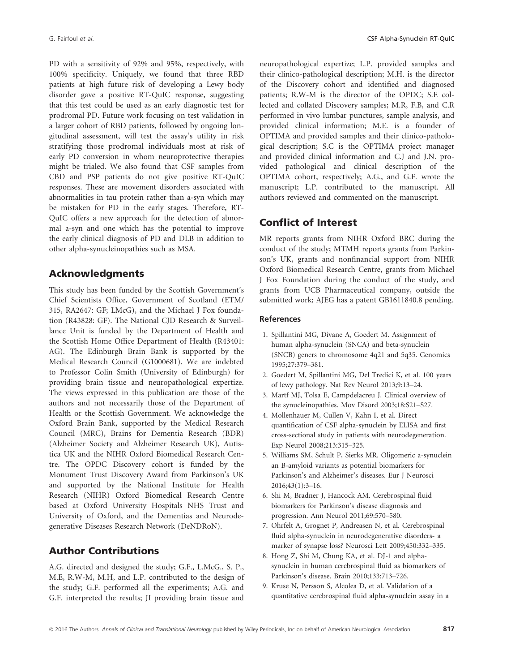PD with a sensitivity of 92% and 95%, respectively, with 100% specificity. Uniquely, we found that three RBD patients at high future risk of developing a Lewy body disorder gave a positive RT-QuIC response, suggesting that this test could be used as an early diagnostic test for prodromal PD. Future work focusing on test validation in a larger cohort of RBD patients, followed by ongoing longitudinal assessment, will test the assay's utility in risk stratifying those prodromal individuals most at risk of early PD conversion in whom neuroprotective therapies might be trialed. We also found that CSF samples from CBD and PSP patients do not give positive RT-QuIC responses. These are movement disorders associated with abnormalities in tau protein rather than a-syn which may be mistaken for PD in the early stages. Therefore, RT-QuIC offers a new approach for the detection of abnormal a-syn and one which has the potential to improve the early clinical diagnosis of PD and DLB in addition to other alpha-synucleinopathies such as MSA.

## Acknowledgments

This study has been funded by the Scottish Government's Chief Scientists Office, Government of Scotland (ETM/ 315, RA2647: GF; LMcG), and the Michael J Fox foundation (R43828: GF). The National CJD Research & Surveillance Unit is funded by the Department of Health and the Scottish Home Office Department of Health (R43401: AG). The Edinburgh Brain Bank is supported by the Medical Research Council (G1000681). We are indebted to Professor Colin Smith (University of Edinburgh) for providing brain tissue and neuropathological expertize. The views expressed in this publication are those of the authors and not necessarily those of the Department of Health or the Scottish Government. We acknowledge the Oxford Brain Bank, supported by the Medical Research Council (MRC), Brains for Dementia Research (BDR) (Alzheimer Society and Alzheimer Research UK), Autistica UK and the NIHR Oxford Biomedical Research Centre. The OPDC Discovery cohort is funded by the Monument Trust Discovery Award from Parkinson's UK and supported by the National Institute for Health Research (NIHR) Oxford Biomedical Research Centre based at Oxford University Hospitals NHS Trust and University of Oxford, and the Dementias and Neurodegenerative Diseases Research Network (DeNDRoN).

## Author Contributions

A.G. directed and designed the study; G.F., L.McG., S. P., M.E, R.W-M, M.H, and L.P. contributed to the design of the study; G.F. performed all the experiments; A.G. and G.F. interpreted the results; JI providing brain tissue and neuropathological expertize; L.P. provided samples and their clinico-pathological description; M.H. is the director of the Discovery cohort and identified and diagnosed patients; R.W-M is the director of the OPDC; S.E collected and collated Discovery samples; M.R, F.B, and C.R performed in vivo lumbar punctures, sample analysis, and provided clinical information; M.E. is a founder of OPTIMA and provided samples and their clinico-pathological description; S.C is the OPTIMA project manager and provided clinical information and C.J and J.N. provided pathological and clinical description of the OPTIMA cohort, respectively; A.G., and G.F. wrote the manuscript; L.P. contributed to the manuscript. All authors reviewed and commented on the manuscript.

## Conflict of Interest

MR reports grants from NIHR Oxford BRC during the conduct of the study; MTMH reports grants from Parkinson's UK, grants and nonfinancial support from NIHR Oxford Biomedical Research Centre, grants from Michael J Fox Foundation during the conduct of the study, and grants from UCB Pharmaceutical company, outside the submitted work; AJEG has a patent GB1611840.8 pending.

#### References

- 1. Spillantini MG, Divane A, Goedert M. Assignment of human alpha-synuclein (SNCA) and beta-synuclein (SNCB) geners to chromosome 4q21 and 5q35. Genomics 1995;27:379–381.
- 2. Goedert M, Spillantini MG, Del Tredici K, et al. 100 years of lewy pathology. Nat Rev Neurol 2013;9:13–24.
- 3. Martf MJ, Tolsa E, Campdelacreu J. Clinical overview of the synucleinopathies. Mov Disord 2003;18:S21–S27.
- 4. Mollenhauer M, Cullen V, Kahn I, et al. Direct quantification of CSF alpha-synuclein by ELISA and first cross-sectional study in patients with neurodegeneration. Exp Neurol 2008;213:315–325.
- 5. Williams SM, Schult P, Sierks MR. Oligomeric a-synuclein an B-amyloid variants as potential biomarkers for Parkinson's and Alzheimer's diseases. Eur J Neurosci 2016;43(1):3–16.
- 6. Shi M, Bradner J, Hancock AM. Cerebrospinal fluid biomarkers for Parkinson's disease diagnosis and progression. Ann Neurol 2011;69:570–580.
- 7. Ohrfelt A, Grognet P, Andreasen N, et al. Cerebrospinal fluid alpha-synuclein in neurodegenerative disorders- a marker of synapse loss? Neurosci Lett 2009;450:332–335.
- 8. Hong Z, Shi M, Chung KA, et al. DJ-1 and alphasynuclein in human cerebrospinal fluid as biomarkers of Parkinson's disease. Brain 2010;133:713–726.
- 9. Kruse N, Persson S, Alcolea D, et al. Validation of a quantitative cerebrospinal fluid alpha-synuclein assay in a